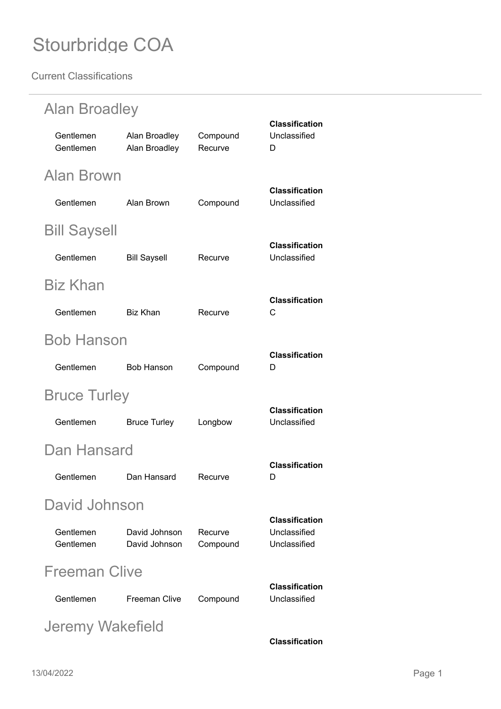| <b>Alan Broadley</b>   |                                |                     |                                                       |  |
|------------------------|--------------------------------|---------------------|-------------------------------------------------------|--|
| Gentlemen<br>Gentlemen | Alan Broadley<br>Alan Broadley | Compound<br>Recurve | <b>Classification</b><br>Unclassified<br>D            |  |
| Alan Brown             |                                |                     |                                                       |  |
| Gentlemen              | Alan Brown                     | Compound            | <b>Classification</b><br>Unclassified                 |  |
| <b>Bill Saysell</b>    |                                |                     |                                                       |  |
| Gentlemen              | <b>Bill Saysell</b>            | Recurve             | <b>Classification</b><br>Unclassified                 |  |
| <b>Biz Khan</b>        |                                |                     |                                                       |  |
| Gentlemen              | <b>Biz Khan</b>                | Recurve             | <b>Classification</b><br>C                            |  |
| <b>Bob Hanson</b>      |                                |                     |                                                       |  |
| Gentlemen              | <b>Bob Hanson</b>              | Compound            | <b>Classification</b><br>D                            |  |
| <b>Bruce Turley</b>    |                                |                     |                                                       |  |
| Gentlemen              | <b>Bruce Turley</b>            | Longbow             | <b>Classification</b><br>Unclassified                 |  |
| Dan Hansard            |                                |                     |                                                       |  |
| Gentlemen              | Dan Hansard                    | Recurve             | <b>Classification</b><br>D.                           |  |
| David Johnson          |                                |                     |                                                       |  |
| Gentlemen<br>Gentlemen | David Johnson<br>David Johnson | Recurve<br>Compound | <b>Classification</b><br>Unclassified<br>Unclassified |  |
| <b>Freeman Clive</b>   |                                |                     |                                                       |  |
| Gentlemen              | <b>Freeman Clive</b>           | Compound            | <b>Classification</b><br>Unclassified                 |  |
| Jeremy Wakefield       |                                |                     |                                                       |  |
|                        |                                |                     | <b>Classification</b>                                 |  |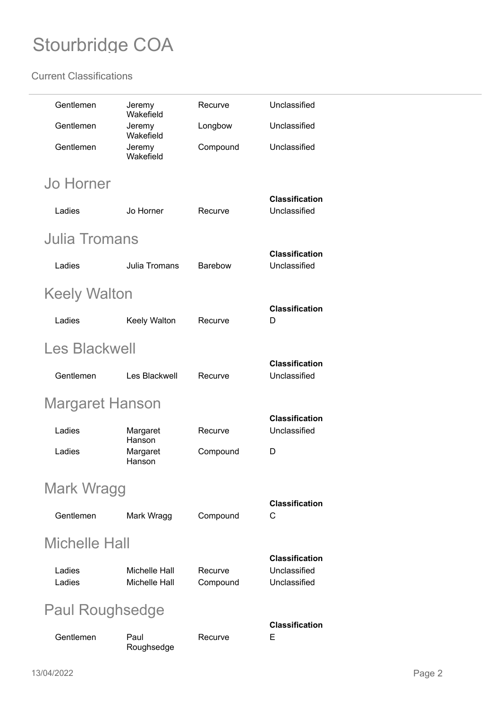| Gentlemen              | Jeremy<br>Wakefield                          | Recurve             | Unclassified                                          |  |  |
|------------------------|----------------------------------------------|---------------------|-------------------------------------------------------|--|--|
| Gentlemen              | Jeremy<br>Wakefield                          | Longbow             | Unclassified                                          |  |  |
| Gentlemen              | Jeremy<br>Wakefield                          | Compound            | Unclassified                                          |  |  |
| <b>Jo Horner</b>       |                                              |                     |                                                       |  |  |
| Ladies                 | Jo Horner                                    | Recurve             | <b>Classification</b><br>Unclassified                 |  |  |
| <b>Julia Tromans</b>   |                                              |                     |                                                       |  |  |
| Ladies                 | Julia Tromans                                | <b>Barebow</b>      | <b>Classification</b><br>Unclassified                 |  |  |
| Keely Walton           |                                              |                     |                                                       |  |  |
| Ladies                 | Keely Walton                                 | Recurve             | <b>Classification</b><br>D                            |  |  |
| <b>Les Blackwell</b>   |                                              |                     |                                                       |  |  |
| Gentlemen              | Les Blackwell                                | Recurve             | <b>Classification</b><br>Unclassified                 |  |  |
| Margaret Hanson        |                                              |                     |                                                       |  |  |
| Ladies                 | Margaret<br>Hanson                           | Recurve             | <b>Classification</b><br>Unclassified                 |  |  |
| Ladies                 | Margaret<br>Hanson                           | Compound            | D                                                     |  |  |
|                        | Mark Wragg                                   |                     |                                                       |  |  |
| Gentlemen              | Mark Wragg                                   | Compound            | <b>Classification</b><br>С                            |  |  |
| Michelle Hall          |                                              |                     |                                                       |  |  |
| Ladies<br>Ladies       | <b>Michelle Hall</b><br><b>Michelle Hall</b> | Recurve<br>Compound | <b>Classification</b><br>Unclassified<br>Unclassified |  |  |
| <b>Paul Roughsedge</b> |                                              |                     |                                                       |  |  |
| Gentlemen              | Paul<br>Roughsedge                           | Recurve             | <b>Classification</b><br>Е                            |  |  |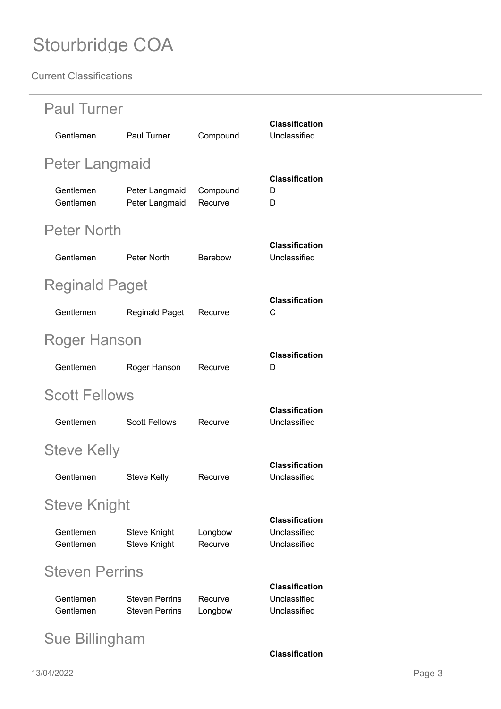| <b>Paul Turner</b>     |                                                |                     |                                                       |  |
|------------------------|------------------------------------------------|---------------------|-------------------------------------------------------|--|
| Gentlemen              | <b>Paul Turner</b>                             | Compound            | <b>Classification</b><br>Unclassified                 |  |
| Peter Langmaid         |                                                |                     |                                                       |  |
| Gentlemen<br>Gentlemen | Peter Langmaid<br>Peter Langmaid               | Compound<br>Recurve | <b>Classification</b><br>D<br>D                       |  |
| <b>Peter North</b>     |                                                |                     |                                                       |  |
| Gentlemen              | Peter North                                    | <b>Barebow</b>      | <b>Classification</b><br>Unclassified                 |  |
| <b>Reginald Paget</b>  |                                                |                     |                                                       |  |
| Gentlemen              | <b>Reginald Paget</b>                          | Recurve             | <b>Classification</b><br>C                            |  |
| <b>Roger Hanson</b>    |                                                |                     |                                                       |  |
| Gentlemen              | Roger Hanson                                   | Recurve             | <b>Classification</b><br>D                            |  |
| <b>Scott Fellows</b>   |                                                |                     |                                                       |  |
| Gentlemen              | <b>Scott Fellows</b>                           | Recurve             | <b>Classification</b><br>Unclassified                 |  |
| <b>Steve Kelly</b>     |                                                |                     |                                                       |  |
| Gentlemen              | Steve Kelly                                    | Recurve             | <b>Classification</b><br>Unclassified                 |  |
| <b>Steve Knight</b>    |                                                |                     |                                                       |  |
| Gentlemen<br>Gentlemen | <b>Steve Knight</b><br><b>Steve Knight</b>     | Longbow<br>Recurve  | <b>Classification</b><br>Unclassified<br>Unclassified |  |
| <b>Steven Perrins</b>  |                                                |                     |                                                       |  |
| Gentlemen<br>Gentlemen | <b>Steven Perrins</b><br><b>Steven Perrins</b> | Recurve<br>Longbow  | <b>Classification</b><br>Unclassified<br>Unclassified |  |
| Sue Billingham         |                                                |                     |                                                       |  |